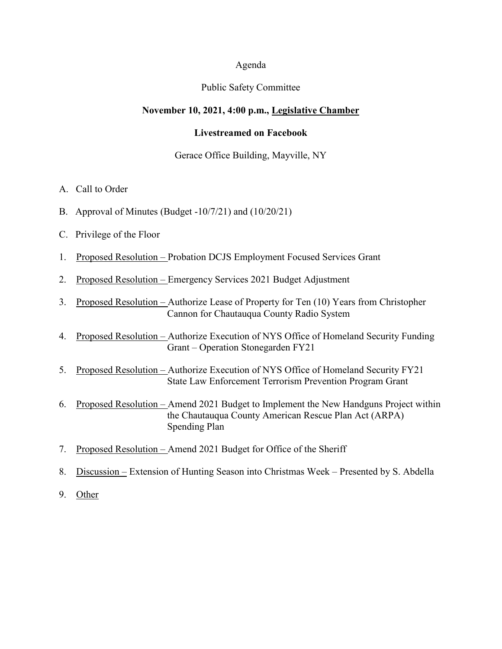#### Agenda

#### Public Safety Committee

#### **November 10, 2021, 4:00 p.m., Legislative Chamber**

#### **Livestreamed on Facebook**

#### Gerace Office Building, Mayville, NY

- A. Call to Order
- B. Approval of Minutes (Budget -10/7/21) and (10/20/21)
- C. Privilege of the Floor
- 1. Proposed Resolution Probation DCJS Employment Focused Services Grant
- 2. Proposed Resolution Emergency Services 2021 Budget Adjustment
- 3. Proposed Resolution Authorize Lease of Property for Ten (10) Years from Christopher Cannon for Chautauqua County Radio System
- 4. Proposed Resolution Authorize Execution of NYS Office of Homeland Security Funding Grant – Operation Stonegarden FY21
- 5. Proposed Resolution Authorize Execution of NYS Office of Homeland Security FY21 State Law Enforcement Terrorism Prevention Program Grant
- 6. Proposed Resolution Amend 2021 Budget to Implement the New Handguns Project within the Chautauqua County American Rescue Plan Act (ARPA) Spending Plan
- 7. Proposed Resolution Amend 2021 Budget for Office of the Sheriff
- 8. Discussion Extension of Hunting Season into Christmas Week Presented by S. Abdella
- 9. Other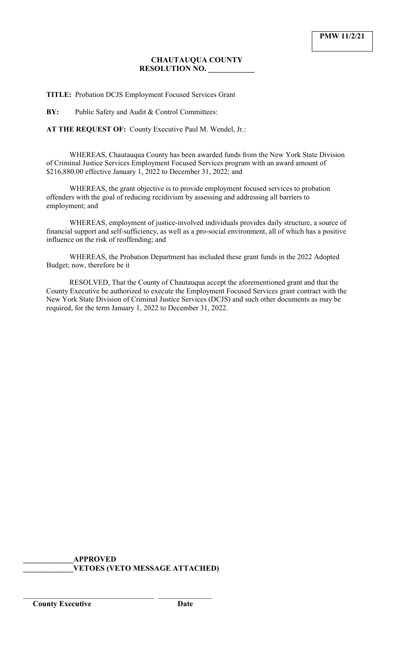## **CHAUTAUQUA COUNTY RESOLUTION NO. \_\_\_\_\_\_\_\_\_\_\_\_**

**TITLE:** Probation DCJS Employment Focused Services Grant

**BY:** Public Safety and Audit & Control Committees:

**AT THE REQUEST OF:** County Executive Paul M. Wendel, Jr.:

WHEREAS, Chautauqua County has been awarded funds from the New York State Division of Criminal Justice Services Employment Focused Services program with an award amount of \$216,880.00 effective January 1, 2022 to December 31, 2022; and

WHEREAS, the grant objective is to provide employment focused services to probation offenders with the goal of reducing recidivism by assessing and addressing all barriers to employment; and

WHEREAS, employment of justice-involved individuals provides daily structure, a source of financial support and self-sufficiency, as well as a pro-social environment, all of which has a positive influence on the risk of reoffending; and

WHEREAS, the Probation Department has included these grant funds in the 2022 Adopted Budget; now, therefore be it

RESOLVED, That the County of Chautauqua accept the aforementioned grant and that the County Executive be authorized to execute the Employment Focused Services grant contract with the New York State Division of Criminal Justice Services (DCJS) and such other documents as may be required, for the term January 1, 2022 to December 31, 2022.

**\_\_\_\_\_\_\_\_\_\_\_\_\_APPROVED \_\_\_\_\_\_\_\_\_\_\_\_\_VETOES (VETO MESSAGE ATTACHED)**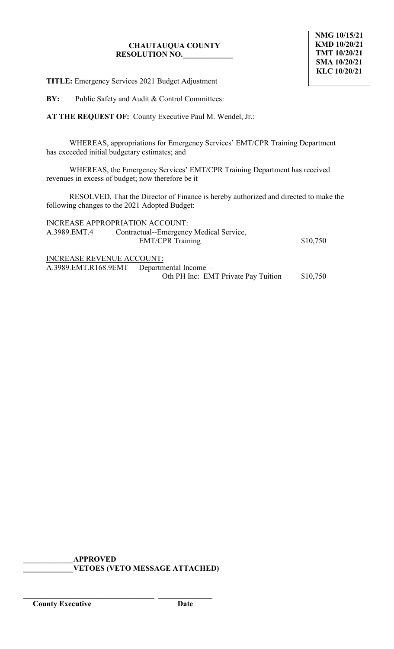# **CHAUTAUQUA COUNTY RESOLUTION NO.\_\_\_\_\_\_\_\_\_\_\_\_\_**

**TITLE:** Emergency Services 2021 Budget Adjustment

**BY:** Public Safety and Audit & Control Committees:

**AT THE REQUEST OF:** County Executive Paul M. Wendel, Jr.:

WHEREAS, appropriations for Emergency Services' EMT/CPR Training Department has exceeded initial budgetary estimates; and

WHEREAS, the Emergency Services' EMT/CPR Training Department has received revenues in excess of budget; now therefore be it

RESOLVED, That the Director of Finance is hereby authorized and directed to make the following changes to the 2021 Adopted Budget:

| INCREASE APPROPRIATION ACCOUNT:  |                                           |          |
|----------------------------------|-------------------------------------------|----------|
| A.3989.EMT.4                     | Contractual--Emergency Medical Service,   |          |
|                                  | <b>EMT/CPR Training</b>                   | \$10,750 |
|                                  |                                           |          |
| <b>INCREASE REVENUE ACCOUNT:</b> |                                           |          |
|                                  | A.3989.EMT.R168.9EMT Departmental Income— |          |
|                                  | Oth PH Inc: EMT Private Pay Tuition       | \$10,750 |

**\_\_\_\_\_\_\_\_\_\_\_\_\_APPROVED \_\_\_\_\_\_\_\_\_\_\_\_\_VETOES (VETO MESSAGE ATTACHED)**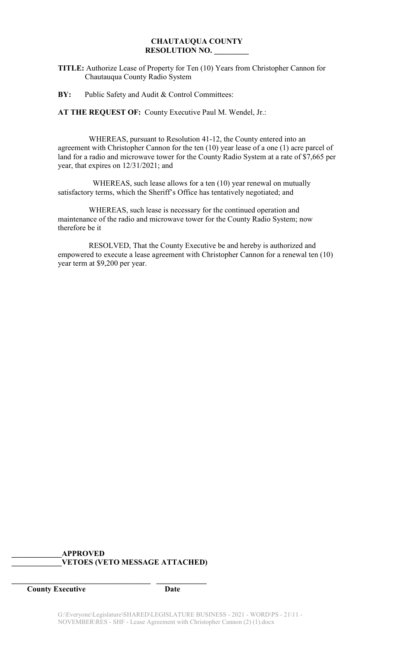### **CHAUTAUQUA COUNTY RESOLUTION NO. \_\_\_\_\_\_\_\_\_**

- **TITLE:** Authorize Lease of Property for Ten (10) Years from Christopher Cannon for Chautauqua County Radio System
- **BY:** Public Safety and Audit & Control Committees:

**AT THE REQUEST OF:** County Executive Paul M. Wendel, Jr.:

 WHEREAS, pursuant to Resolution 41-12, the County entered into an agreement with Christopher Cannon for the ten (10) year lease of a one (1) acre parcel of land for a radio and microwave tower for the County Radio System at a rate of \$7,665 per year, that expires on 12/31/2021; and

 WHEREAS, such lease allows for a ten (10) year renewal on mutually satisfactory terms, which the Sheriff's Office has tentatively negotiated; and

 WHEREAS, such lease is necessary for the continued operation and maintenance of the radio and microwave tower for the County Radio System; now therefore be it

 RESOLVED, That the County Executive be and hereby is authorized and empowered to execute a lease agreement with Christopher Cannon for a renewal ten (10) year term at \$9,200 per year.

## **\_\_\_\_\_\_\_\_\_\_\_\_\_APPROVED \_\_\_\_\_\_\_\_\_\_\_\_\_VETOES (VETO MESSAGE ATTACHED)**

**\_\_\_\_\_\_\_\_\_\_\_\_\_\_\_\_\_\_\_\_\_\_\_\_\_\_\_\_\_\_\_\_\_\_\_\_ \_\_\_\_\_\_\_\_\_\_\_\_\_**

**County Executive Date**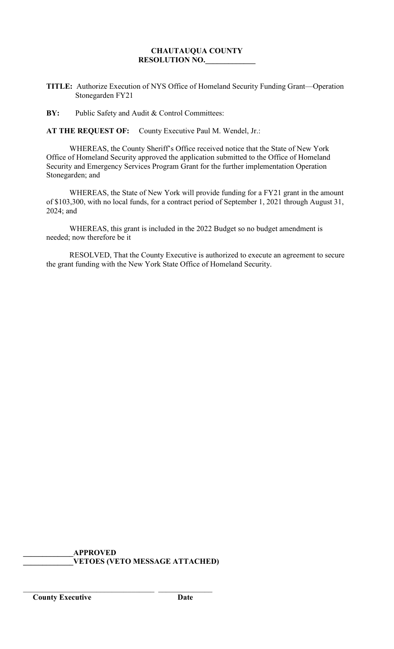# **CHAUTAUQUA COUNTY RESOLUTION NO.\_\_\_\_\_\_\_\_\_\_\_\_\_**

**TITLE:** Authorize Execution of NYS Office of Homeland Security Funding Grant—Operation Stonegarden FY21

**BY:** Public Safety and Audit & Control Committees:

**AT THE REQUEST OF:** County Executive Paul M. Wendel, Jr.:

WHEREAS, the County Sheriff's Office received notice that the State of New York Office of Homeland Security approved the application submitted to the Office of Homeland Security and Emergency Services Program Grant for the further implementation Operation Stonegarden; and

WHEREAS, the State of New York will provide funding for a FY21 grant in the amount of \$103,300, with no local funds, for a contract period of September 1, 2021 through August 31, 2024; and

WHEREAS, this grant is included in the 2022 Budget so no budget amendment is needed; now therefore be it

RESOLVED, That the County Executive is authorized to execute an agreement to secure the grant funding with the New York State Office of Homeland Security.

**\_\_\_\_\_\_\_\_\_\_\_\_\_APPROVED \_\_\_\_\_\_\_\_\_\_\_\_\_VETOES (VETO MESSAGE ATTACHED)**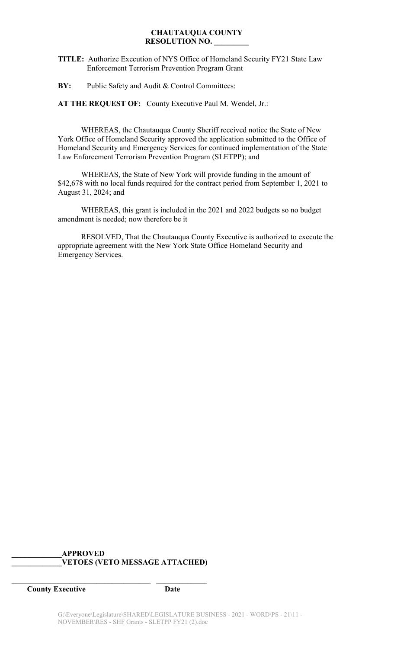#### **CHAUTAUQUA COUNTY RESOLUTION NO. \_\_\_\_\_\_\_\_\_**

**TITLE:** Authorize Execution of NYS Office of Homeland Security FY21 State Law Enforcement Terrorism Prevention Program Grant

**BY:** Public Safety and Audit & Control Committees:

**AT THE REQUEST OF:** County Executive Paul M. Wendel, Jr.:

WHEREAS, the Chautauqua County Sheriff received notice the State of New York Office of Homeland Security approved the application submitted to the Office of Homeland Security and Emergency Services for continued implementation of the State Law Enforcement Terrorism Prevention Program (SLETPP); and

WHEREAS, the State of New York will provide funding in the amount of \$42,678 with no local funds required for the contract period from September 1, 2021 to August 31, 2024; and

WHEREAS, this grant is included in the 2021 and 2022 budgets so no budget amendment is needed; now therefore be it

RESOLVED, That the Chautauqua County Executive is authorized to execute the appropriate agreement with the New York State Office Homeland Security and Emergency Services.

## **\_\_\_\_\_\_\_\_\_\_\_\_\_APPROVED \_\_\_\_\_\_\_\_\_\_\_\_\_VETOES (VETO MESSAGE ATTACHED)**

**\_\_\_\_\_\_\_\_\_\_\_\_\_\_\_\_\_\_\_\_\_\_\_\_\_\_\_\_\_\_\_\_\_\_\_\_ \_\_\_\_\_\_\_\_\_\_\_\_\_**

**County Executive Date**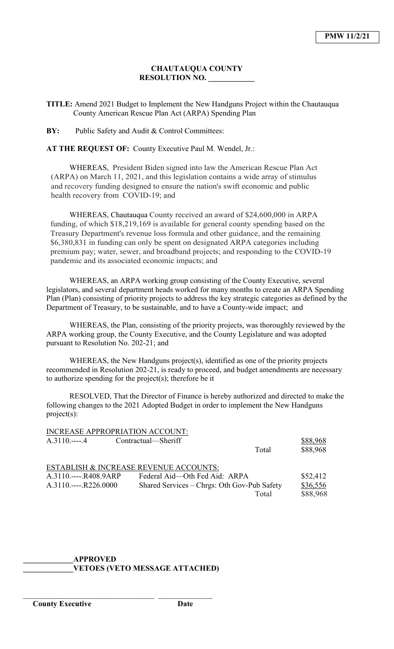### **CHAUTAUQUA COUNTY RESOLUTION NO. \_\_\_\_\_\_\_\_\_\_\_\_**

**TITLE:** Amend 2021 Budget to Implement the New Handguns Project within the Chautauqua County American Rescue Plan Act (ARPA) Spending Plan

**BY:** Public Safety and Audit & Control Committees:

**AT THE REQUEST OF:** County Executive Paul M. Wendel, Jr.:

WHEREAS, President Biden signed into law the American Rescue Plan Act (ARPA) on March 11, 2021, and this legislation contains a wide array of stimulus and recovery funding designed to ensure the nation's swift economic and public health recovery from COVID-19; and

WHEREAS, Chautauqua County received an award of \$24,600,000 in ARPA funding, of which \$18,219,169 is available for general county spending based on the Treasury Department's revenue loss formula and other guidance, and the remaining \$6,380,831 in funding can only be spent on designated ARPA categories including premium pay; water, sewer, and broadband projects; and responding to the COVID-19 pandemic and its associated economic impacts; and

WHEREAS, an ARPA working group consisting of the County Executive, several legislators, and several department heads worked for many months to create an ARPA Spending Plan (Plan) consisting of priority projects to address the key strategic categories as defined by the Department of Treasury, to be sustainable, and to have a County-wide impact; and

WHEREAS, the Plan, consisting of the priority projects, was thoroughly reviewed by the ARPA working group, the County Executive, and the County Legislature and was adopted pursuant to Resolution No. 202-21; and

WHEREAS, the New Handguns project(s), identified as one of the priority projects recommended in Resolution 202-21, is ready to proceed, and budget amendments are necessary to authorize spending for the project(s); therefore be it

RESOLVED, That the Director of Finance is hereby authorized and directed to make the following changes to the 2021 Adopted Budget in order to implement the New Handguns project(s):

|                       | INCREASE APPROPRIATION ACCOUNT:             |       |          |
|-----------------------|---------------------------------------------|-------|----------|
| $A.3110$ 4            | Contractual—Sheriff                         |       | \$88,968 |
|                       |                                             | Total | \$88,968 |
|                       | ESTABLISH & INCREASE REVENUE ACCOUNTS:      |       |          |
| A.3110.----.R408.9ARP | Federal Aid—Oth Fed Aid: ARPA               |       | \$52,412 |
| $A.3110$ R226.0000    | Shared Services – Chrgs: Oth Gov-Pub Safety |       | \$36,556 |
|                       |                                             | Total | \$88,968 |

### **\_\_\_\_\_\_\_\_\_\_\_\_\_APPROVED \_\_\_\_\_\_\_\_\_\_\_\_\_VETOES (VETO MESSAGE ATTACHED)**